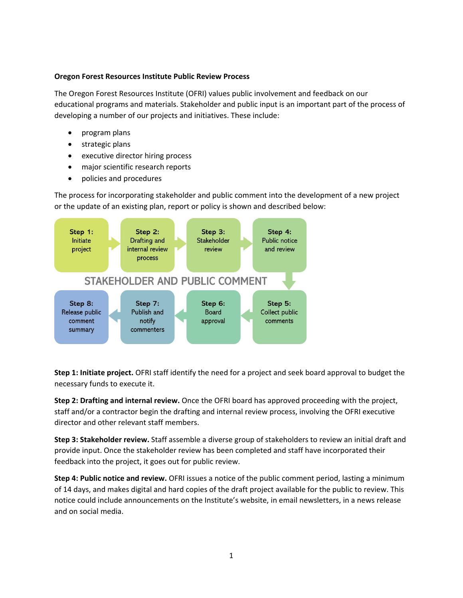## **Oregon Forest Resources Institute Public Review Process**

The Oregon Forest Resources Institute (OFRI) values public involvement and feedback on our educational programs and materials. Stakeholder and public input is an important part of the process of developing a number of our projects and initiatives. These include:

- program plans
- strategic plans
- executive director hiring process
- major scientific research reports
- policies and procedures

The process for incorporating stakeholder and public comment into the development of a new project or the update of an existing plan, report or policy is shown and described below:



**Step 1: Initiate project.** OFRI staff identify the need for a project and seek board approval to budget the necessary funds to execute it.

**Step 2: Drafting and internal review.** Once the OFRI board has approved proceeding with the project, staff and/or a contractor begin the drafting and internal review process, involving the OFRI executive director and other relevant staff members.

**Step 3: Stakeholder review.** Staff assemble a diverse group of stakeholders to review an initial draft and provide input. Once the stakeholder review has been completed and staff have incorporated their feedback into the project, it goes out for public review.

**Step 4: Public notice and review.** OFRI issues a notice of the public comment period, lasting a minimum of 14 days, and makes digital and hard copies of the draft project available for the public to review. This notice could include announcements on the Institute's website, in email newsletters, in a news release and on social media.